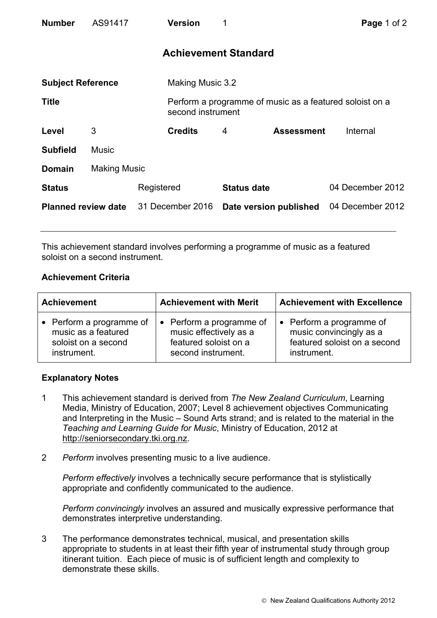| <b>Number</b>              | AS91417             |            | <b>Version</b>              | 1                  |                        | Page 1 of 2                                             |  |
|----------------------------|---------------------|------------|-----------------------------|--------------------|------------------------|---------------------------------------------------------|--|
|                            |                     |            | <b>Achievement Standard</b> |                    |                        |                                                         |  |
| <b>Subject Reference</b>   |                     |            | Making Music 3.2            |                    |                        |                                                         |  |
| <b>Title</b>               |                     |            | second instrument           |                    |                        | Perform a programme of music as a featured soloist on a |  |
| Level                      | 3                   |            | <b>Credits</b>              | 4                  | <b>Assessment</b>      | Internal                                                |  |
| <b>Subfield</b>            | <b>Music</b>        |            |                             |                    |                        |                                                         |  |
| <b>Domain</b>              | <b>Making Music</b> |            |                             |                    |                        |                                                         |  |
| <b>Status</b>              |                     | Registered |                             | <b>Status date</b> |                        | 04 December 2012                                        |  |
| <b>Planned review date</b> |                     |            | 31 December 2016            |                    | Date version published | 04 December 2012                                        |  |

This achievement standard involves performing a programme of music as a featured soloist on a second instrument.

## **Achievement Criteria**

| <b>Achievement</b>                                                                    | <b>Achievement with Merit</b>                                                                     | <b>Achievement with Excellence</b>                                                                            |  |
|---------------------------------------------------------------------------------------|---------------------------------------------------------------------------------------------------|---------------------------------------------------------------------------------------------------------------|--|
| • Perform a programme of<br>music as a featured<br>soloist on a second<br>instrument. | • Perform a programme of<br>music effectively as a<br>featured soloist on a<br>second instrument. | Perform a programme of<br>$\bullet$<br>music convincingly as a<br>featured soloist on a second<br>instrument. |  |

## **Explanatory Notes**

- 1 This achievement standard is derived from *The New Zealand Curriculum*, Learning Media, Ministry of Education, 2007; Level 8 achievement objectives Communicating and Interpreting in the Music – Sound Arts strand; and is related to the material in the *Teaching and Learning Guide for Music*, Ministry of Education, 2012 at http://seniorsecondary.tki.org.nz.
- 2 *Perform* involves presenting music to a live audience.

*Perform effectively* involves a technically secure performance that is stylistically appropriate and confidently communicated to the audience.

*Perform convincingly* involves an assured and musically expressive performance that demonstrates interpretive understanding.

3 The performance demonstrates technical, musical, and presentation skills appropriate to students in at least their fifth year of instrumental study through group itinerant tuition. Each piece of music is of sufficient length and complexity to demonstrate these skills.